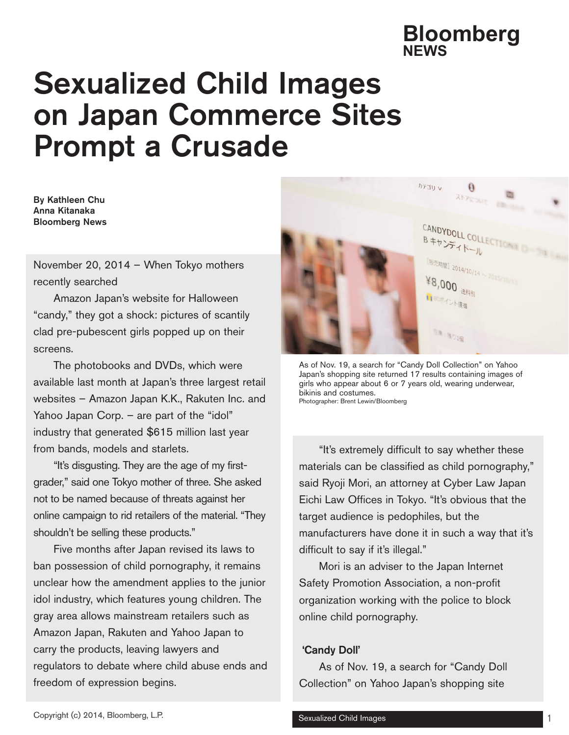# Sexualized Child Images on Japan Commerce Sites Prompt a Crusade

By Kathleen Chu Anna Kitanaka Bloomberg News

November 20, 2014 – When Tokyo mothers recently searched

Amazon Japan's website for Halloween "candy," they got a shock: pictures of scantily clad pre-pubescent girls popped up on their screens.

The photobooks and DVDs, which were available last month at Japan's three largest retail websites – Amazon Japan K.K., Rakuten Inc. and Yahoo Japan Corp. – are part of the "idol" industry that generated \$615 million last year from bands, models and starlets.

"It's disgusting. They are the age of my firstgrader," said one Tokyo mother of three. She asked not to be named because of threats against her online campaign to rid retailers of the material. "They shouldn't be selling these products."

Five months after Japan revised its laws to ban possession of child pornography, it remains unclear how the amendment applies to the junior idol industry, which features young children. The gray area allows mainstream retailers such as Amazon Japan, Rakuten and Yahoo Japan to carry the products, leaving lawyers and regulators to debate where child abuse ends and freedom of expression begins.



As of Nov. 19, a search for "Candy Doll Collection" on Yahoo Japan's shopping site returned 17 results containing images of girls who appear about 6 or 7 years old, wearing underwear, bikinis and costumes. Photographer: Brent Lewin/Bloomberg

"It's extremely difficult to say whether these materials can be classified as child pornography," said Ryoji Mori, an attorney at Cyber Law Japan Eichi Law Offices in Tokyo. "It's obvious that the target audience is pedophiles, but the manufacturers have done it in such a way that it's difficult to say if it's illegal."

Mori is an adviser to the Japan Internet Safety Promotion Association, a non-profit organization working with the police to block online child pornography.

#### 'Candy Doll'

As of Nov. 19, a search for "Candy Doll Collection" on Yahoo Japan's shopping site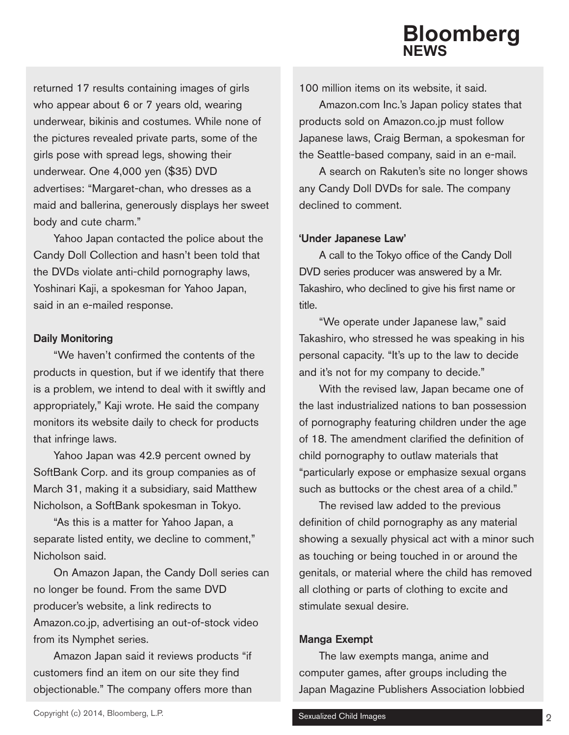returned 17 results containing images of girls who appear about 6 or 7 years old, wearing underwear, bikinis and costumes. While none of the pictures revealed private parts, some of the girls pose with spread legs, showing their underwear. One 4,000 yen (\$35) DVD advertises: "Margaret-chan, who dresses as a maid and ballerina, generously displays her sweet body and cute charm."

Yahoo Japan contacted the police about the Candy Doll Collection and hasn't been told that the DVDs violate anti-child pornography laws, Yoshinari Kaji, a spokesman for Yahoo Japan, said in an e-mailed response.

### Daily Monitoring

"We haven't confirmed the contents of the products in question, but if we identify that there is a problem, we intend to deal with it swiftly and appropriately," Kaji wrote. He said the company monitors its website daily to check for products that infringe laws.

Yahoo Japan was 42.9 percent owned by SoftBank Corp. and its group companies as of March 31, making it a subsidiary, said Matthew Nicholson, a SoftBank spokesman in Tokyo.

"As this is a matter for Yahoo Japan, a separate listed entity, we decline to comment," Nicholson said.

On Amazon Japan, the Candy Doll series can no longer be found. From the same DVD producer's website, a link redirects to Amazon.co.jp, advertising an out-of-stock video from its Nymphet series.

Amazon Japan said it reviews products "if customers find an item on our site they find objectionable." The company offers more than 100 million items on its website, it said.

Amazon.com Inc.'s Japan policy states that products sold on Amazon.co.jp must follow Japanese laws, Craig Berman, a spokesman for the Seattle-based company, said in an e-mail.

A search on Rakuten's site no longer shows any Candy Doll DVDs for sale. The company declined to comment.

## 'Under Japanese Law'

A call to the Tokyo office of the Candy Doll DVD series producer was answered by a Mr. Takashiro, who declined to give his first name or title.

"We operate under Japanese law," said Takashiro, who stressed he was speaking in his personal capacity. "It's up to the law to decide and it's not for my company to decide."

With the revised law, Japan became one of the last industrialized nations to ban possession of pornography featuring children under the age of 18. The amendment clarified the definition of child pornography to outlaw materials that "particularly expose or emphasize sexual organs such as buttocks or the chest area of a child."

The revised law added to the previous definition of child pornography as any material showing a sexually physical act with a minor such as touching or being touched in or around the genitals, or material where the child has removed all clothing or parts of clothing to excite and stimulate sexual desire.

## Manga Exempt

The law exempts manga, anime and computer games, after groups including the Japan Magazine Publishers Association lobbied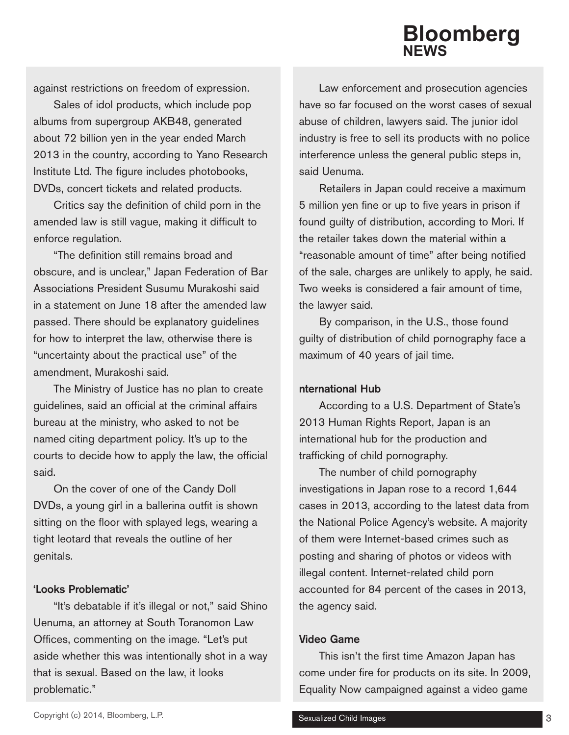against restrictions on freedom of expression.

Sales of idol products, which include pop albums from supergroup AKB48, generated about 72 billion yen in the year ended March 2013 in the country, according to Yano Research Institute Ltd. The figure includes photobooks, DVDs, concert tickets and related products.

Critics say the definition of child porn in the amended law is still vague, making it difficult to enforce regulation.

"The definition still remains broad and obscure, and is unclear," Japan Federation of Bar Associations President Susumu Murakoshi said in a statement on June 18 after the amended law passed. There should be explanatory guidelines for how to interpret the law, otherwise there is "uncertainty about the practical use" of the amendment, Murakoshi said.

The Ministry of Justice has no plan to create guidelines, said an official at the criminal affairs bureau at the ministry, who asked to not be named citing department policy. It's up to the courts to decide how to apply the law, the official said.

On the cover of one of the Candy Doll DVDs, a young girl in a ballerina outfit is shown sitting on the floor with splayed legs, wearing a tight leotard that reveals the outline of her genitals.

#### 'Looks Problematic'

"It's debatable if it's illegal or not," said Shino Uenuma, an attorney at South Toranomon Law Offices, commenting on the image. "Let's put aside whether this was intentionally shot in a way that is sexual. Based on the law, it looks problematic."

Law enforcement and prosecution agencies have so far focused on the worst cases of sexual abuse of children, lawyers said. The junior idol industry is free to sell its products with no police interference unless the general public steps in, said Uenuma.

Retailers in Japan could receive a maximum 5 million yen fine or up to five years in prison if found guilty of distribution, according to Mori. If the retailer takes down the material within a "reasonable amount of time" after being notified of the sale, charges are unlikely to apply, he said. Two weeks is considered a fair amount of time, the lawyer said.

By comparison, in the U.S., those found guilty of distribution of child pornography face a maximum of 40 years of jail time.

#### nternational Hub

According to a U.S. Department of State's 2013 Human Rights Report, Japan is an international hub for the production and trafficking of child pornography.

The number of child pornography investigations in Japan rose to a record 1,644 cases in 2013, according to the latest data from the National Police Agency's website. A majority of them were Internet-based crimes such as posting and sharing of photos or videos with illegal content. Internet-related child porn accounted for 84 percent of the cases in 2013, the agency said.

#### Video Game

This isn't the first time Amazon Japan has come under fire for products on its site. In 2009, Equality Now campaigned against a video game